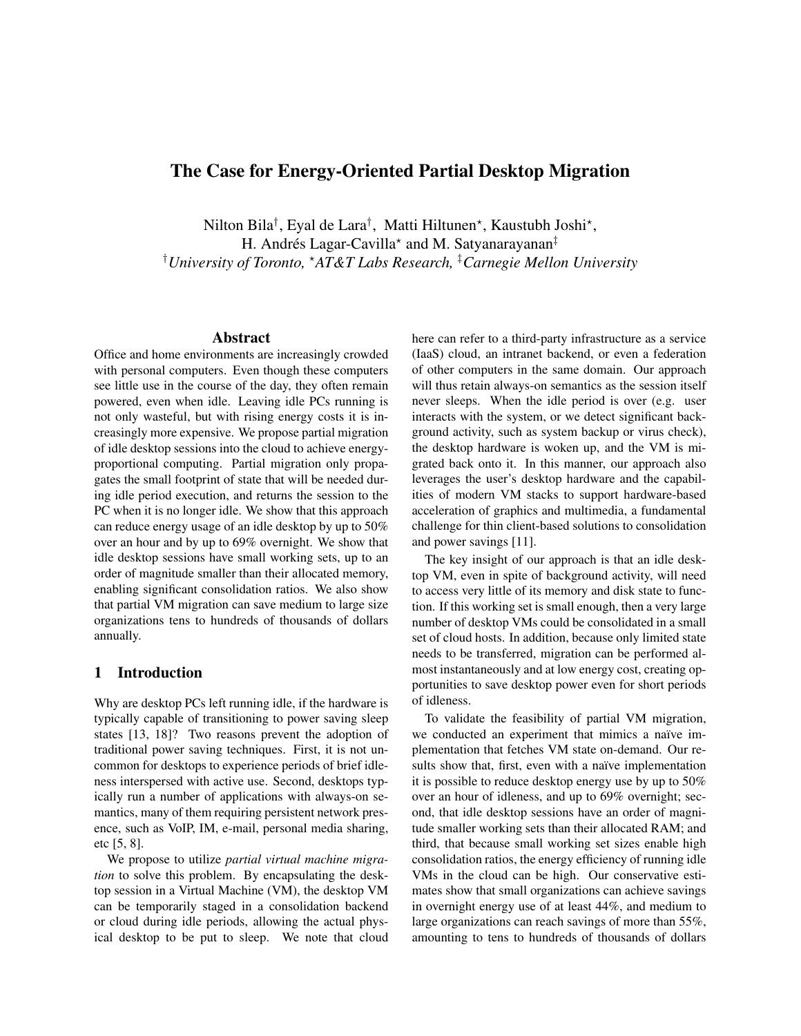# The Case for Energy-Oriented Partial Desktop Migration

Nilton Bila<sup>†</sup>, Eyal de Lara<sup>†</sup>, Matti Hiltunen\*, Kaustubh Joshi\*, H. Andrés Lagar-Cavilla\* and M. Satyanarayanan<sup>‡</sup> †*University of Toronto,* ?*AT&T Labs Research,* ‡*Carnegie Mellon University*

# Abstract

Office and home environments are increasingly crowded with personal computers. Even though these computers see little use in the course of the day, they often remain powered, even when idle. Leaving idle PCs running is not only wasteful, but with rising energy costs it is increasingly more expensive. We propose partial migration of idle desktop sessions into the cloud to achieve energyproportional computing. Partial migration only propagates the small footprint of state that will be needed during idle period execution, and returns the session to the PC when it is no longer idle. We show that this approach can reduce energy usage of an idle desktop by up to 50% over an hour and by up to 69% overnight. We show that idle desktop sessions have small working sets, up to an order of magnitude smaller than their allocated memory, enabling significant consolidation ratios. We also show that partial VM migration can save medium to large size organizations tens to hundreds of thousands of dollars annually.

# 1 Introduction

Why are desktop PCs left running idle, if the hardware is typically capable of transitioning to power saving sleep states [13, 18]? Two reasons prevent the adoption of traditional power saving techniques. First, it is not uncommon for desktops to experience periods of brief idleness interspersed with active use. Second, desktops typically run a number of applications with always-on semantics, many of them requiring persistent network presence, such as VoIP, IM, e-mail, personal media sharing, etc [5, 8].

We propose to utilize *partial virtual machine migration* to solve this problem. By encapsulating the desktop session in a Virtual Machine (VM), the desktop VM can be temporarily staged in a consolidation backend or cloud during idle periods, allowing the actual physical desktop to be put to sleep. We note that cloud here can refer to a third-party infrastructure as a service (IaaS) cloud, an intranet backend, or even a federation of other computers in the same domain. Our approach will thus retain always-on semantics as the session itself never sleeps. When the idle period is over (e.g. user interacts with the system, or we detect significant background activity, such as system backup or virus check), the desktop hardware is woken up, and the VM is migrated back onto it. In this manner, our approach also leverages the user's desktop hardware and the capabilities of modern VM stacks to support hardware-based acceleration of graphics and multimedia, a fundamental challenge for thin client-based solutions to consolidation and power savings [11].

The key insight of our approach is that an idle desktop VM, even in spite of background activity, will need to access very little of its memory and disk state to function. If this working set is small enough, then a very large number of desktop VMs could be consolidated in a small set of cloud hosts. In addition, because only limited state needs to be transferred, migration can be performed almost instantaneously and at low energy cost, creating opportunities to save desktop power even for short periods of idleness.

To validate the feasibility of partial VM migration, we conducted an experiment that mimics a naïve implementation that fetches VM state on-demand. Our results show that, first, even with a naïve implementation it is possible to reduce desktop energy use by up to 50% over an hour of idleness, and up to 69% overnight; second, that idle desktop sessions have an order of magnitude smaller working sets than their allocated RAM; and third, that because small working set sizes enable high consolidation ratios, the energy efficiency of running idle VMs in the cloud can be high. Our conservative estimates show that small organizations can achieve savings in overnight energy use of at least 44%, and medium to large organizations can reach savings of more than 55%, amounting to tens to hundreds of thousands of dollars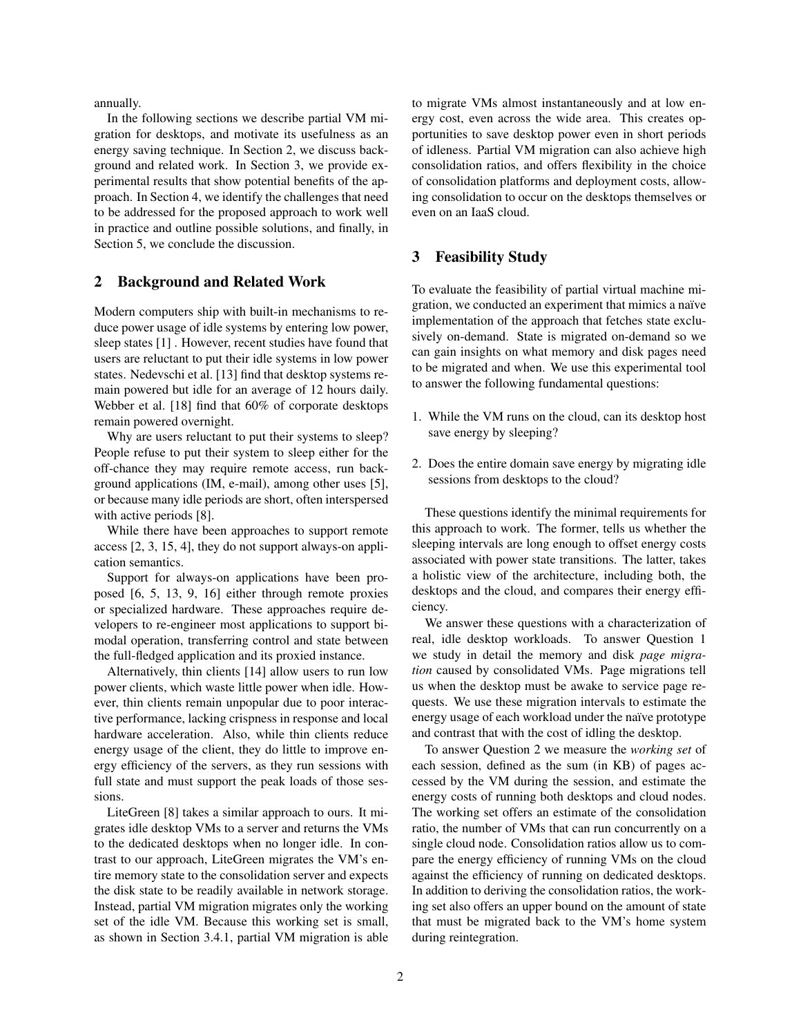annually.

In the following sections we describe partial VM migration for desktops, and motivate its usefulness as an energy saving technique. In Section 2, we discuss background and related work. In Section 3, we provide experimental results that show potential benefits of the approach. In Section 4, we identify the challenges that need to be addressed for the proposed approach to work well in practice and outline possible solutions, and finally, in Section 5, we conclude the discussion.

# 2 Background and Related Work

Modern computers ship with built-in mechanisms to reduce power usage of idle systems by entering low power, sleep states [1] . However, recent studies have found that users are reluctant to put their idle systems in low power states. Nedevschi et al. [13] find that desktop systems remain powered but idle for an average of 12 hours daily. Webber et al. [18] find that 60% of corporate desktops remain powered overnight.

Why are users reluctant to put their systems to sleep? People refuse to put their system to sleep either for the off-chance they may require remote access, run background applications (IM, e-mail), among other uses [5], or because many idle periods are short, often interspersed with active periods [8].

While there have been approaches to support remote access [2, 3, 15, 4], they do not support always-on application semantics.

Support for always-on applications have been proposed [6, 5, 13, 9, 16] either through remote proxies or specialized hardware. These approaches require developers to re-engineer most applications to support bimodal operation, transferring control and state between the full-fledged application and its proxied instance.

Alternatively, thin clients [14] allow users to run low power clients, which waste little power when idle. However, thin clients remain unpopular due to poor interactive performance, lacking crispness in response and local hardware acceleration. Also, while thin clients reduce energy usage of the client, they do little to improve energy efficiency of the servers, as they run sessions with full state and must support the peak loads of those sessions.

LiteGreen [8] takes a similar approach to ours. It migrates idle desktop VMs to a server and returns the VMs to the dedicated desktops when no longer idle. In contrast to our approach, LiteGreen migrates the VM's entire memory state to the consolidation server and expects the disk state to be readily available in network storage. Instead, partial VM migration migrates only the working set of the idle VM. Because this working set is small, as shown in Section 3.4.1, partial VM migration is able to migrate VMs almost instantaneously and at low energy cost, even across the wide area. This creates opportunities to save desktop power even in short periods of idleness. Partial VM migration can also achieve high consolidation ratios, and offers flexibility in the choice of consolidation platforms and deployment costs, allowing consolidation to occur on the desktops themselves or even on an IaaS cloud.

# 3 Feasibility Study

To evaluate the feasibility of partial virtual machine migration, we conducted an experiment that mimics a naïve implementation of the approach that fetches state exclusively on-demand. State is migrated on-demand so we can gain insights on what memory and disk pages need to be migrated and when. We use this experimental tool to answer the following fundamental questions:

- 1. While the VM runs on the cloud, can its desktop host save energy by sleeping?
- 2. Does the entire domain save energy by migrating idle sessions from desktops to the cloud?

These questions identify the minimal requirements for this approach to work. The former, tells us whether the sleeping intervals are long enough to offset energy costs associated with power state transitions. The latter, takes a holistic view of the architecture, including both, the desktops and the cloud, and compares their energy efficiency.

We answer these questions with a characterization of real, idle desktop workloads. To answer Question 1 we study in detail the memory and disk *page migration* caused by consolidated VMs. Page migrations tell us when the desktop must be awake to service page requests. We use these migration intervals to estimate the energy usage of each workload under the naïve prototype and contrast that with the cost of idling the desktop.

To answer Question 2 we measure the *working set* of each session, defined as the sum (in KB) of pages accessed by the VM during the session, and estimate the energy costs of running both desktops and cloud nodes. The working set offers an estimate of the consolidation ratio, the number of VMs that can run concurrently on a single cloud node. Consolidation ratios allow us to compare the energy efficiency of running VMs on the cloud against the efficiency of running on dedicated desktops. In addition to deriving the consolidation ratios, the working set also offers an upper bound on the amount of state that must be migrated back to the VM's home system during reintegration.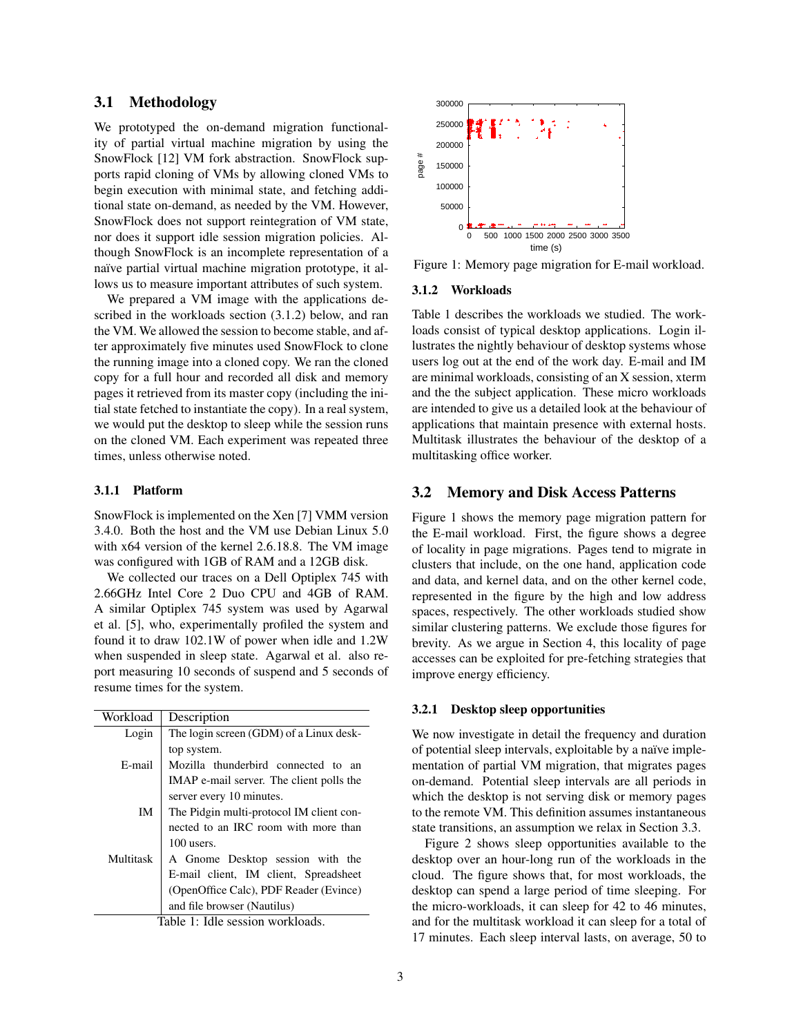# 3.1 Methodology

We prototyped the on-demand migration functionality of partial virtual machine migration by using the SnowFlock [12] VM fork abstraction. SnowFlock supports rapid cloning of VMs by allowing cloned VMs to begin execution with minimal state, and fetching additional state on-demand, as needed by the VM. However, SnowFlock does not support reintegration of VM state, nor does it support idle session migration policies. Although SnowFlock is an incomplete representation of a naïve partial virtual machine migration prototype, it allows us to measure important attributes of such system.

We prepared a VM image with the applications described in the workloads section (3.1.2) below, and ran the VM. We allowed the session to become stable, and after approximately five minutes used SnowFlock to clone the running image into a cloned copy. We ran the cloned copy for a full hour and recorded all disk and memory pages it retrieved from its master copy (including the initial state fetched to instantiate the copy). In a real system, we would put the desktop to sleep while the session runs on the cloned VM. Each experiment was repeated three times, unless otherwise noted.

### 3.1.1 Platform

SnowFlock is implemented on the Xen [7] VMM version 3.4.0. Both the host and the VM use Debian Linux 5.0 with x64 version of the kernel 2.6.18.8. The VM image was configured with 1GB of RAM and a 12GB disk.

We collected our traces on a Dell Optiplex 745 with 2.66GHz Intel Core 2 Duo CPU and 4GB of RAM. A similar Optiplex 745 system was used by Agarwal et al. [5], who, experimentally profiled the system and found it to draw 102.1W of power when idle and 1.2W when suspended in sleep state. Agarwal et al. also report measuring 10 seconds of suspend and 5 seconds of resume times for the system.

| Workload                                  | Description                              |  |
|-------------------------------------------|------------------------------------------|--|
| Login                                     | The login screen (GDM) of a Linux desk-  |  |
|                                           | top system.                              |  |
| E-mail                                    | Mozilla thunderbird connected to an      |  |
|                                           | IMAP e-mail server. The client polls the |  |
|                                           | server every 10 minutes.                 |  |
| IM                                        | The Pidgin multi-protocol IM client con- |  |
|                                           | nected to an IRC room with more than     |  |
|                                           | $100$ users.                             |  |
| Multitask                                 | A Gnome Desktop session with the         |  |
|                                           | E-mail client, IM client, Spreadsheet    |  |
|                                           | (OpenOffice Calc), PDF Reader (Evince)   |  |
|                                           | and file browser (Nautilus)              |  |
| Tall of the Idle associate consulation de |                                          |  |

Table 1: Idle session workloads.



Figure 1: Memory page migration for E-mail workload.

#### 3.1.2 Workloads

Table 1 describes the workloads we studied. The workloads consist of typical desktop applications. Login illustrates the nightly behaviour of desktop systems whose users log out at the end of the work day. E-mail and IM are minimal workloads, consisting of an X session, xterm and the the subject application. These micro workloads are intended to give us a detailed look at the behaviour of applications that maintain presence with external hosts. Multitask illustrates the behaviour of the desktop of a multitasking office worker.

### 3.2 Memory and Disk Access Patterns

Figure 1 shows the memory page migration pattern for the E-mail workload. First, the figure shows a degree of locality in page migrations. Pages tend to migrate in clusters that include, on the one hand, application code and data, and kernel data, and on the other kernel code, represented in the figure by the high and low address spaces, respectively. The other workloads studied show similar clustering patterns. We exclude those figures for brevity. As we argue in Section 4, this locality of page accesses can be exploited for pre-fetching strategies that improve energy efficiency.

### 3.2.1 Desktop sleep opportunities

We now investigate in detail the frequency and duration of potential sleep intervals, exploitable by a naïve implementation of partial VM migration, that migrates pages on-demand. Potential sleep intervals are all periods in which the desktop is not serving disk or memory pages to the remote VM. This definition assumes instantaneous state transitions, an assumption we relax in Section 3.3.

Figure 2 shows sleep opportunities available to the desktop over an hour-long run of the workloads in the cloud. The figure shows that, for most workloads, the desktop can spend a large period of time sleeping. For the micro-workloads, it can sleep for 42 to 46 minutes, and for the multitask workload it can sleep for a total of 17 minutes. Each sleep interval lasts, on average, 50 to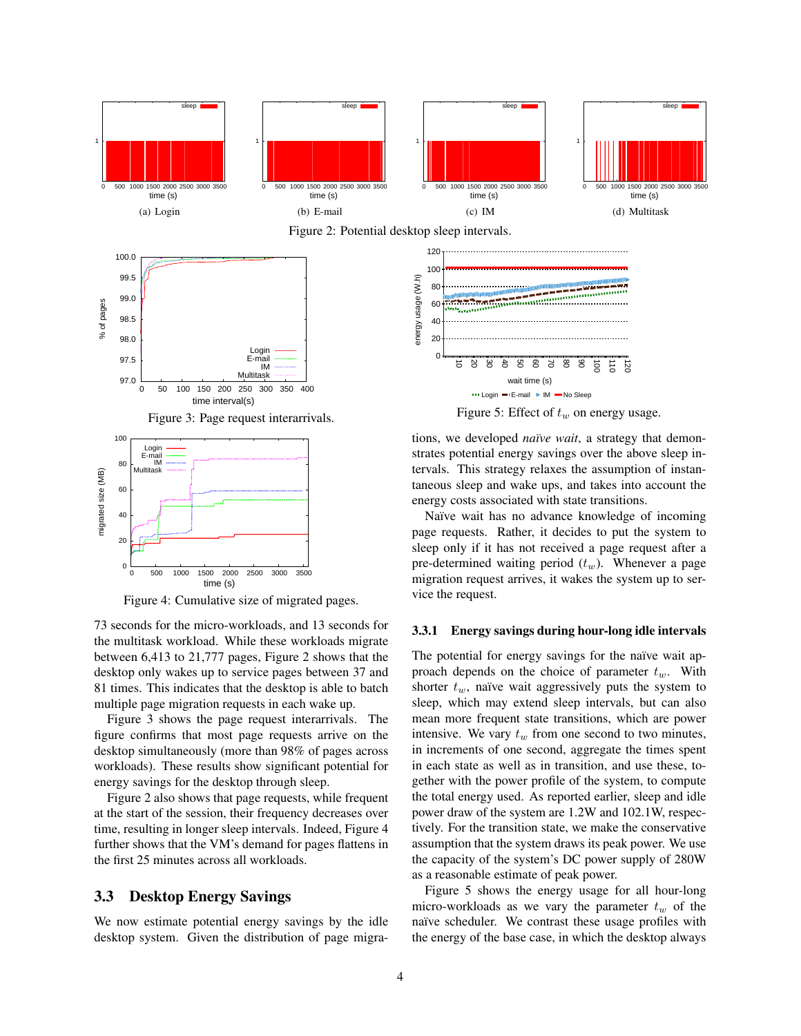

Figure 4: Cumulative size of migrated pages.

73 seconds for the micro-workloads, and 13 seconds for the multitask workload. While these workloads migrate between 6,413 to 21,777 pages, Figure 2 shows that the desktop only wakes up to service pages between 37 and 81 times. This indicates that the desktop is able to batch multiple page migration requests in each wake up.

Figure 3 shows the page request interarrivals. The figure confirms that most page requests arrive on the desktop simultaneously (more than 98% of pages across workloads). These results show significant potential for energy savings for the desktop through sleep.

Figure 2 also shows that page requests, while frequent at the start of the session, their frequency decreases over time, resulting in longer sleep intervals. Indeed, Figure 4 further shows that the VM's demand for pages flattens in the first 25 minutes across all workloads.

### 3.3 Desktop Energy Savings

We now estimate potential energy savings by the idle desktop system. Given the distribution of page migra-

#### 3.3.1 Energy savings during hour-long idle intervals

The potential for energy savings for the naïve wait approach depends on the choice of parameter  $t_w$ . With shorter  $t_w$ , naïve wait aggressively puts the system to sleep, which may extend sleep intervals, but can also mean more frequent state transitions, which are power intensive. We vary  $t_w$  from one second to two minutes, in increments of one second, aggregate the times spent in each state as well as in transition, and use these, together with the power profile of the system, to compute the total energy used. As reported earlier, sleep and idle power draw of the system are 1.2W and 102.1W, respectively. For the transition state, we make the conservative assumption that the system draws its peak power. We use the capacity of the system's DC power supply of 280W as a reasonable estimate of peak power.

Figure 5 shows the energy usage for all hour-long micro-workloads as we vary the parameter  $t_w$  of the naïve scheduler. We contrast these usage profiles with the energy of the base case, in which the desktop always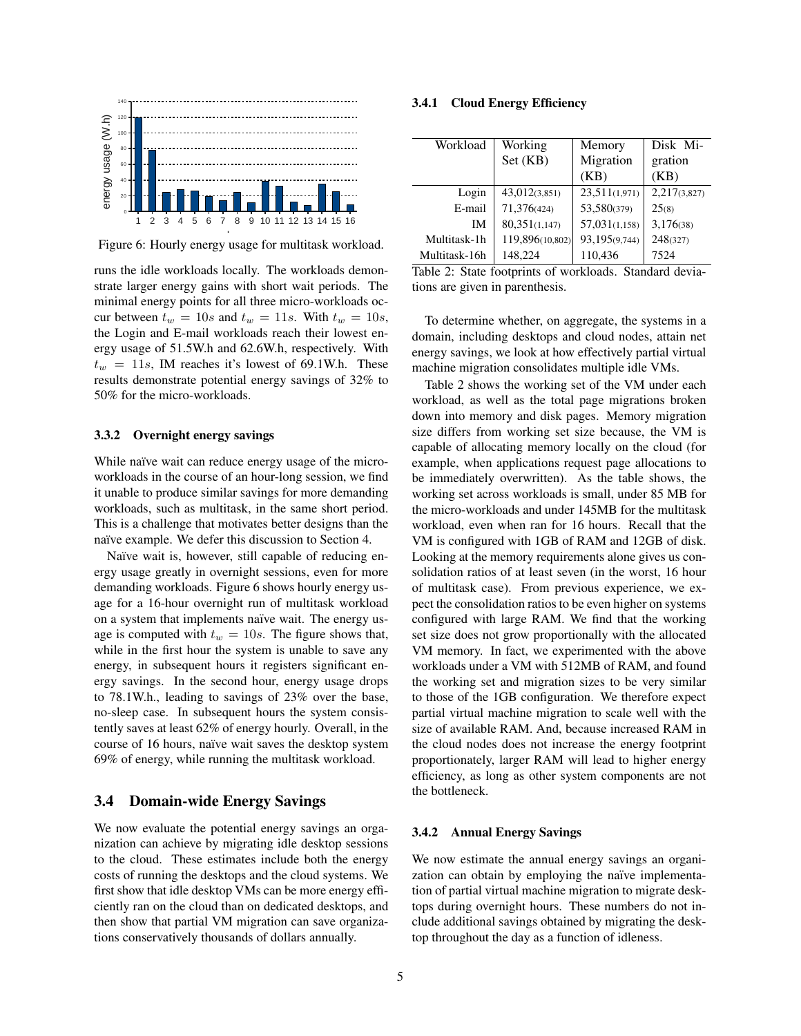

Figure 6: Hourly energy usage for multitask workload.

runs the idle workloads locally. The workloads demonstrate larger energy gains with short wait periods. The minimal energy points for all three micro-workloads occur between  $t_w = 10s$  and  $t_w = 11s$ . With  $t_w = 10s$ , the Login and E-mail workloads reach their lowest energy usage of 51.5W.h and 62.6W.h, respectively. With  $t_w = 11s$ , IM reaches it's lowest of 69.1W.h. These results demonstrate potential energy savings of 32% to 50% for the micro-workloads.

### 3.3.2 Overnight energy savings

While naïve wait can reduce energy usage of the microworkloads in the course of an hour-long session, we find it unable to produce similar savings for more demanding workloads, such as multitask, in the same short period. This is a challenge that motivates better designs than the naïve example. We defer this discussion to Section 4.

Naïve wait is, however, still capable of reducing energy usage greatly in overnight sessions, even for more demanding workloads. Figure 6 shows hourly energy usage for a 16-hour overnight run of multitask workload on a system that implements naïve wait. The energy usage is computed with  $t_w = 10s$ . The figure shows that, while in the first hour the system is unable to save any energy, in subsequent hours it registers significant energy savings. In the second hour, energy usage drops to 78.1W.h., leading to savings of 23% over the base, no-sleep case. In subsequent hours the system consistently saves at least 62% of energy hourly. Overall, in the course of 16 hours, naïve wait saves the desktop system 69% of energy, while running the multitask workload.

### 3.4 Domain-wide Energy Savings

We now evaluate the potential energy savings an organization can achieve by migrating idle desktop sessions to the cloud. These estimates include both the energy costs of running the desktops and the cloud systems. We first show that idle desktop VMs can be more energy efficiently ran on the cloud than on dedicated desktops, and then show that partial VM migration can save organizations conservatively thousands of dollars annually.

### 3.4.1 Cloud Energy Efficiency

| Workload      | Working         | Memory        | Disk Mi-     |
|---------------|-----------------|---------------|--------------|
|               | Set (KB)        | Migration     | gration      |
|               |                 | (KB)          | (KB)         |
| Login         | 43,012(3,851)   | 23,511(1,971) | 2,217(3,827) |
| E-mail        | 71,376(424)     | 53,580(379)   | 25(8)        |
| IM            | 80,351(1,147)   | 57,031(1,158) | 3,176(38)    |
| Multitask-1h  | 119,896(10,802) | 93,195(9,744) | 248(327)     |
| Multitask-16h | 148,224         | 110,436       | 7524         |

Table 2: State footprints of workloads. Standard deviations are given in parenthesis.

To determine whether, on aggregate, the systems in a domain, including desktops and cloud nodes, attain net energy savings, we look at how effectively partial virtual machine migration consolidates multiple idle VMs.

Table 2 shows the working set of the VM under each workload, as well as the total page migrations broken down into memory and disk pages. Memory migration size differs from working set size because, the VM is capable of allocating memory locally on the cloud (for example, when applications request page allocations to be immediately overwritten). As the table shows, the working set across workloads is small, under 85 MB for the micro-workloads and under 145MB for the multitask workload, even when ran for 16 hours. Recall that the VM is configured with 1GB of RAM and 12GB of disk. Looking at the memory requirements alone gives us consolidation ratios of at least seven (in the worst, 16 hour of multitask case). From previous experience, we expect the consolidation ratios to be even higher on systems configured with large RAM. We find that the working set size does not grow proportionally with the allocated VM memory. In fact, we experimented with the above workloads under a VM with 512MB of RAM, and found the working set and migration sizes to be very similar to those of the 1GB configuration. We therefore expect partial virtual machine migration to scale well with the size of available RAM. And, because increased RAM in the cloud nodes does not increase the energy footprint proportionately, larger RAM will lead to higher energy efficiency, as long as other system components are not the bottleneck.

### 3.4.2 Annual Energy Savings

We now estimate the annual energy savings an organization can obtain by employing the naïve implementation of partial virtual machine migration to migrate desktops during overnight hours. These numbers do not include additional savings obtained by migrating the desktop throughout the day as a function of idleness.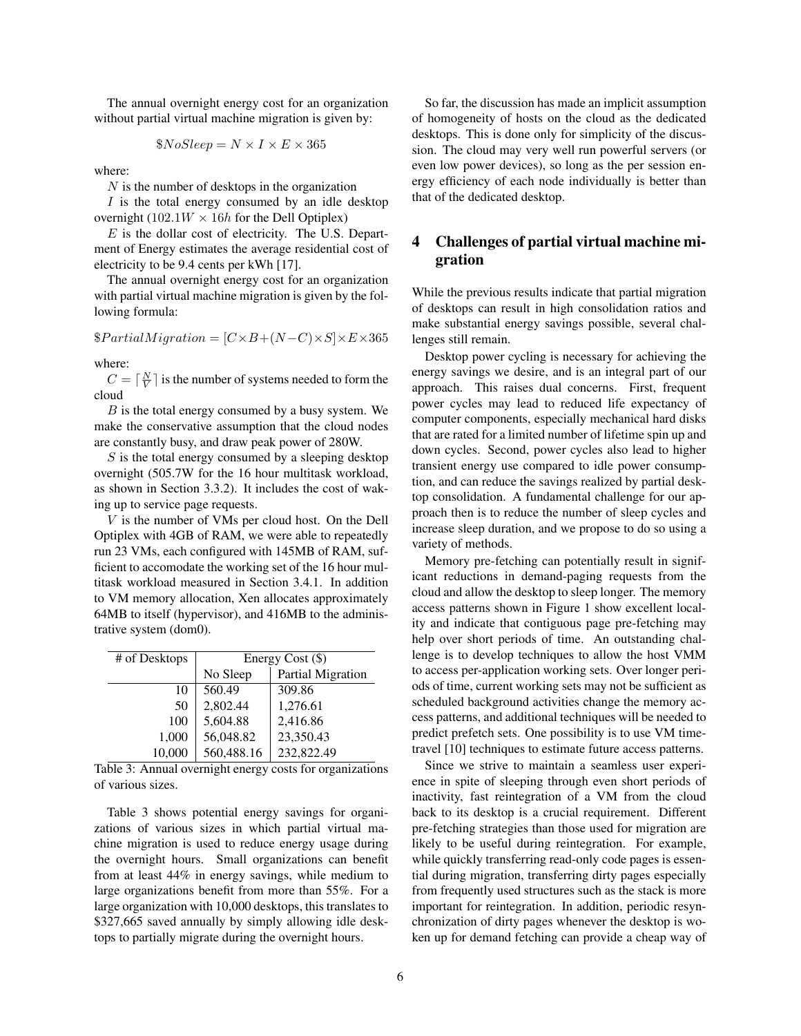The annual overnight energy cost for an organization without partial virtual machine migration is given by:

$$
\$NoSleep = N \times I \times E \times 365
$$

where:

 $N$  is the number of desktops in the organization

 $I$  is the total energy consumed by an idle desktop overnight (102.1 $W \times 16h$  for the Dell Optiplex)

 $E$  is the dollar cost of electricity. The U.S. Department of Energy estimates the average residential cost of electricity to be 9.4 cents per kWh [17].

The annual overnight energy cost for an organization with partial virtual machine migration is given by the following formula:

 $$PartialMigration = [C \times B + (N - C) \times S] \times E \times 365$ 

where:

 $C = \lceil \frac{N}{V} \rceil$  is the number of systems needed to form the cloud

 $B$  is the total energy consumed by a busy system. We make the conservative assumption that the cloud nodes are constantly busy, and draw peak power of 280W.

 $S$  is the total energy consumed by a sleeping desktop overnight (505.7W for the 16 hour multitask workload, as shown in Section 3.3.2). It includes the cost of waking up to service page requests.

V is the number of VMs per cloud host. On the Dell Optiplex with 4GB of RAM, we were able to repeatedly run 23 VMs, each configured with 145MB of RAM, sufficient to accomodate the working set of the 16 hour multitask workload measured in Section 3.4.1. In addition to VM memory allocation, Xen allocates approximately 64MB to itself (hypervisor), and 416MB to the administrative system (dom0).

| # of Desktops | Energy Cost (\$) |                   |  |
|---------------|------------------|-------------------|--|
|               | No Sleep         | Partial Migration |  |
| 10            | 560.49           | 309.86            |  |
| 50            | 2,802.44         | 1,276.61          |  |
| 100           | 5,604.88         | 2,416.86          |  |
| 1,000         | 56,048.82        | 23,350.43         |  |
| 10,000        | 560,488.16       | 232,822.49        |  |

Table 3: Annual overnight energy costs for organizations of various sizes.

Table 3 shows potential energy savings for organizations of various sizes in which partial virtual machine migration is used to reduce energy usage during the overnight hours. Small organizations can benefit from at least 44% in energy savings, while medium to large organizations benefit from more than 55%. For a large organization with 10,000 desktops, this translates to \$327,665 saved annually by simply allowing idle desktops to partially migrate during the overnight hours.

So far, the discussion has made an implicit assumption of homogeneity of hosts on the cloud as the dedicated desktops. This is done only for simplicity of the discussion. The cloud may very well run powerful servers (or even low power devices), so long as the per session energy efficiency of each node individually is better than that of the dedicated desktop.

# 4 Challenges of partial virtual machine migration

While the previous results indicate that partial migration of desktops can result in high consolidation ratios and make substantial energy savings possible, several challenges still remain.

Desktop power cycling is necessary for achieving the energy savings we desire, and is an integral part of our approach. This raises dual concerns. First, frequent power cycles may lead to reduced life expectancy of computer components, especially mechanical hard disks that are rated for a limited number of lifetime spin up and down cycles. Second, power cycles also lead to higher transient energy use compared to idle power consumption, and can reduce the savings realized by partial desktop consolidation. A fundamental challenge for our approach then is to reduce the number of sleep cycles and increase sleep duration, and we propose to do so using a variety of methods.

Memory pre-fetching can potentially result in significant reductions in demand-paging requests from the cloud and allow the desktop to sleep longer. The memory access patterns shown in Figure 1 show excellent locality and indicate that contiguous page pre-fetching may help over short periods of time. An outstanding challenge is to develop techniques to allow the host VMM to access per-application working sets. Over longer periods of time, current working sets may not be sufficient as scheduled background activities change the memory access patterns, and additional techniques will be needed to predict prefetch sets. One possibility is to use VM timetravel [10] techniques to estimate future access patterns.

Since we strive to maintain a seamless user experience in spite of sleeping through even short periods of inactivity, fast reintegration of a VM from the cloud back to its desktop is a crucial requirement. Different pre-fetching strategies than those used for migration are likely to be useful during reintegration. For example, while quickly transferring read-only code pages is essential during migration, transferring dirty pages especially from frequently used structures such as the stack is more important for reintegration. In addition, periodic resynchronization of dirty pages whenever the desktop is woken up for demand fetching can provide a cheap way of